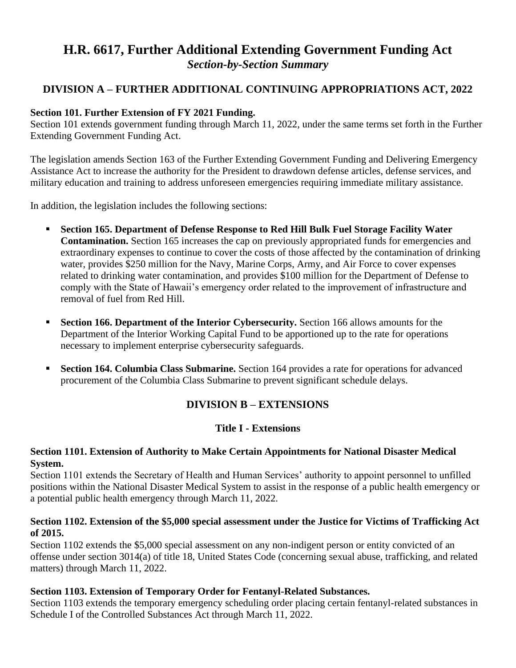# **H.R. 6617, Further Additional Extending Government Funding Act** *Section-by-Section Summary*

# **DIVISION A – FURTHER ADDITIONAL CONTINUING APPROPRIATIONS ACT, 2022**

#### **Section 101. Further Extension of FY 2021 Funding.**

Section 101 extends government funding through March 11, 2022, under the same terms set forth in the Further Extending Government Funding Act.

The legislation amends Section 163 of the Further Extending Government Funding and Delivering Emergency Assistance Act to increase the authority for the President to drawdown defense articles, defense services, and military education and training to address unforeseen emergencies requiring immediate military assistance.

In addition, the legislation includes the following sections:

- **Section 165. Department of Defense Response to Red Hill Bulk Fuel Storage Facility Water Contamination.** Section 165 increases the cap on previously appropriated funds for emergencies and extraordinary expenses to continue to cover the costs of those affected by the contamination of drinking water, provides \$250 million for the Navy, Marine Corps, Army, and Air Force to cover expenses related to drinking water contamination, and provides \$100 million for the Department of Defense to comply with the State of Hawaii's emergency order related to the improvement of infrastructure and removal of fuel from Red Hill.
- **Section 166. Department of the Interior Cybersecurity.** Section 166 allows amounts for the Department of the Interior Working Capital Fund to be apportioned up to the rate for operations necessary to implement enterprise cybersecurity safeguards.
- **Section 164. Columbia Class Submarine.** Section 164 provides a rate for operations for advanced procurement of the Columbia Class Submarine to prevent significant schedule delays.

# **DIVISION B – EXTENSIONS**

### **Title I - Extensions**

#### **Section 1101. Extension of Authority to Make Certain Appointments for National Disaster Medical System.**

Section 1101 extends the Secretary of Health and Human Services' authority to appoint personnel to unfilled positions within the National Disaster Medical System to assist in the response of a public health emergency or a potential public health emergency through March 11, 2022.

#### **Section 1102. Extension of the \$5,000 special assessment under the Justice for Victims of Trafficking Act of 2015.**

Section 1102 extends the \$5,000 special assessment on any non-indigent person or entity convicted of an offense under section 3014(a) of title 18, United States Code (concerning sexual abuse, trafficking, and related matters) through March 11, 2022.

### **Section 1103. Extension of Temporary Order for Fentanyl-Related Substances.**

Section 1103 extends the temporary emergency scheduling order placing certain fentanyl-related substances in Schedule I of the Controlled Substances Act through March 11, 2022.